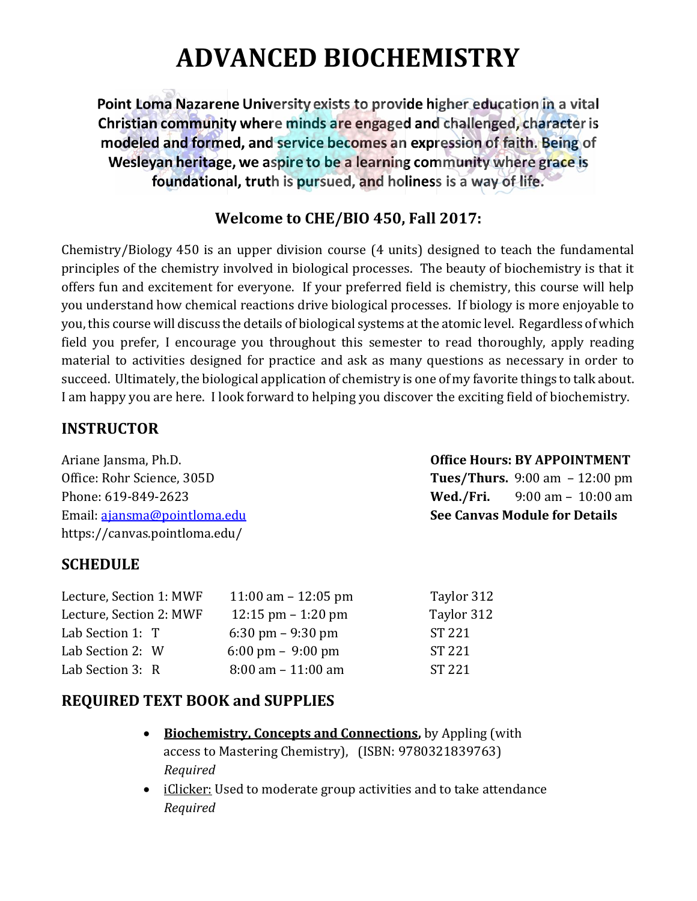# **ADVANCED BIOCHEMISTRY**

Point Loma Nazarene University exists to provide higher education in a vital Christian community where minds are engaged and challenged, character is modeled and formed, and service becomes an expression of faith. Being of Wesleyan heritage, we aspire to be a learning community where grace is foundational, truth is pursued, and holiness is a way of life.

# **Welcome to CHE/BIO 450, Fall 2017:**

Chemistry/Biology 450 is an upper division course (4 units) designed to teach the fundamental principles of the chemistry involved in biological processes. The beauty of biochemistry is that it offers fun and excitement for everyone. If your preferred field is chemistry, this course will help you understand how chemical reactions drive biological processes. If biology is more enjoyable to you, this course will discuss the details of biological systems at the atomic level. Regardless of which field you prefer, I encourage you throughout this semester to read thoroughly, apply reading material to activities designed for practice and ask as many questions as necessary in order to succeed. Ultimately, the biological application of chemistry is one of my favorite things to talk about. I am happy you are here. I look forward to helping you discover the exciting field of biochemistry.

# **INSTRUCTOR**

https://canvas.pointloma.edu/

# **SCHEDULE**

| Lecture, Section 1: MWF | 11:00 am $-$ 12:05 pm                | Taylor 312    |
|-------------------------|--------------------------------------|---------------|
| Lecture, Section 2: MWF | $12:15 \text{ pm} - 1:20 \text{ pm}$ | Taylor 312    |
| Lab Section 1: T        | $6:30 \text{ pm} - 9:30 \text{ pm}$  | ST 221        |
| Lab Section 2: W        | $6:00 \text{ pm} - 9:00 \text{ pm}$  | <b>ST 221</b> |
| Lab Section 3: R        | $8:00$ am $-11:00$ am                | ST 221        |

# **REQUIRED TEXT BOOK and SUPPLIES**

- **Biochemistry, Concepts and Connections,** by Appling (with access to Mastering Chemistry), (ISBN: 9780321839763) *Required*
- iClicker: Used to moderate group activities and to take attendance *Required*

#### Ariane Jansma, Ph.D. **Office Hours: BY APPOINTMENT**

Office: Rohr Science, 305D **Tues/Thurs.** 9:00 am – 12:00 pm Phone: 619-849-2623 **Wed./Fri.** 9:00 am – 10:00 am Email: [ajansma@pointloma.edu](mailto:ajansma@pointloma.edu) **See Canvas Module for Details**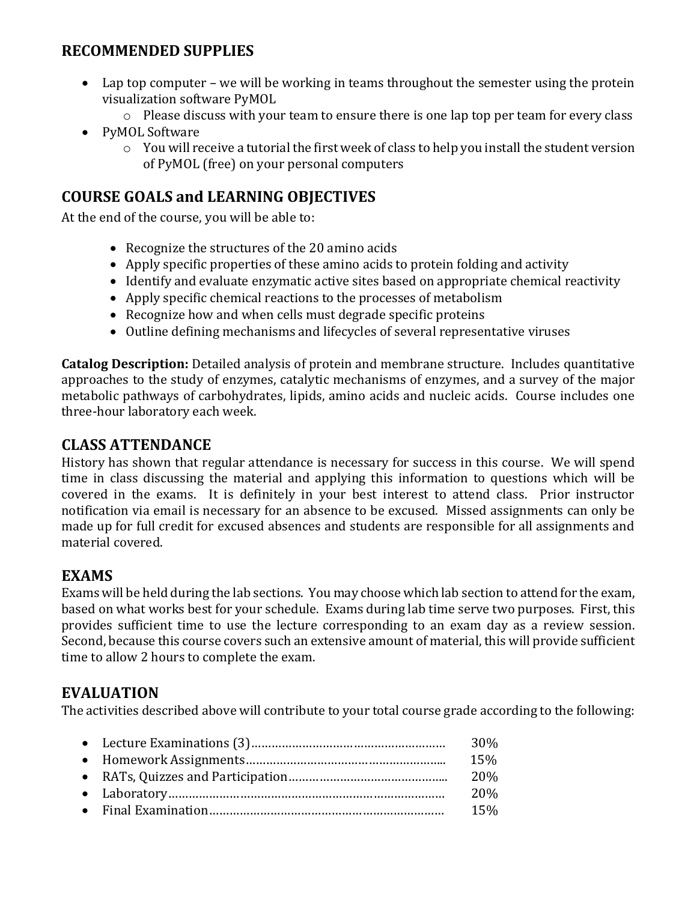# **RECOMMENDED SUPPLIES**

- Lap top computer we will be working in teams throughout the semester using the protein visualization software PyMOL
	- o Please discuss with your team to ensure there is one lap top per team for every class
- PvMOL Software
	- o You will receive a tutorial the first week of class to help you install the student version of PyMOL (free) on your personal computers

# **COURSE GOALS and LEARNING OBJECTIVES**

At the end of the course, you will be able to:

- Recognize the structures of the 20 amino acids
- Apply specific properties of these amino acids to protein folding and activity
- Identify and evaluate enzymatic active sites based on appropriate chemical reactivity
- Apply specific chemical reactions to the processes of metabolism
- Recognize how and when cells must degrade specific proteins
- Outline defining mechanisms and lifecycles of several representative viruses

**Catalog Description:** Detailed analysis of protein and membrane structure. Includes quantitative approaches to the study of enzymes, catalytic mechanisms of enzymes, and a survey of the major metabolic pathways of carbohydrates, lipids, amino acids and nucleic acids. Course includes one three-hour laboratory each week.

# **CLASS ATTENDANCE**

History has shown that regular attendance is necessary for success in this course. We will spend time in class discussing the material and applying this information to questions which will be covered in the exams. It is definitely in your best interest to attend class. Prior instructor notification via email is necessary for an absence to be excused. Missed assignments can only be made up for full credit for excused absences and students are responsible for all assignments and material covered.

#### **EXAMS**

Exams will be held during the lab sections. You may choose which lab section to attend for the exam, based on what works best for your schedule. Exams during lab time serve two purposes. First, this provides sufficient time to use the lecture corresponding to an exam day as a review session. Second, because this course covers such an extensive amount of material, this will provide sufficient time to allow 2 hours to complete the exam.

# **EVALUATION**

The activities described above will contribute to your total course grade according to the following:

|  | 30% |
|--|-----|
|  | 15% |
|  | 20% |
|  | 20% |
|  | 15% |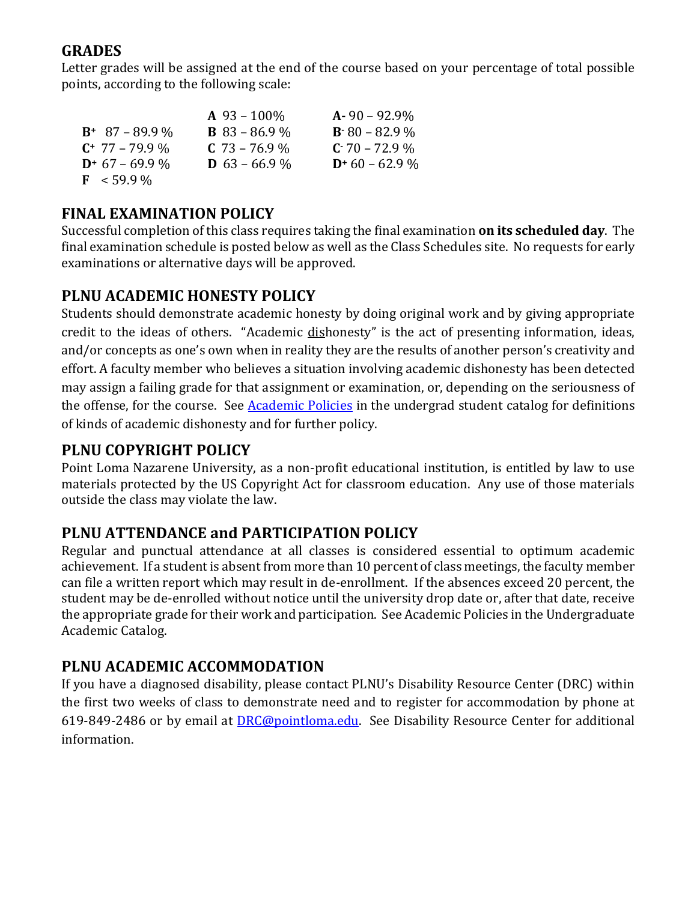# **GRADES**

Letter grades will be assigned at the end of the course based on your percentage of total possible points, according to the following scale:

|                       | $A\,93 - 100\%$      | $A - 90 - 92.9\%$ |
|-----------------------|----------------------|-------------------|
| $B^+$ 87 – 89.9 %     | <b>B</b> 83 – 86.9 % | $B - 80 - 82.9\%$ |
| $C^+$ 77 – 79.9 %     | $C$ 73 – 76.9 %      | $C - 70 - 72.9\%$ |
| $D^*$ 67 – 69.9 %     | <b>D</b> 63 – 66.9 % | $D+60-62.9\%$     |
| $\mathbf{F}$ < 59.9 % |                      |                   |

### **FINAL EXAMINATION POLICY**

Successful completion of this class requires taking the final examination **on its scheduled day**. The final examination schedule is posted below as well as the Class Schedules site. No requests for early examinations or alternative days will be approved.

# **PLNU ACADEMIC HONESTY POLICY**

Students should demonstrate academic honesty by doing original work and by giving appropriate credit to the ideas of others. "Academic dishonesty" is the act of presenting information, ideas, and/or concepts as one's own when in reality they are the results of another person's creativity and effort. A faculty member who believes a situation involving academic dishonesty has been detected may assign a failing grade for that assignment or examination, or, depending on the seriousness of the offense, for the course. See **Academic Policies** in the undergrad student catalog for definitions of kinds of academic dishonesty and for further policy.

#### **PLNU COPYRIGHT POLICY**

Point Loma Nazarene University, as a non-profit educational institution, is entitled by law to use materials protected by the US Copyright Act for classroom education. Any use of those materials outside the class may violate the law.

# **PLNU ATTENDANCE and PARTICIPATION POLICY**

Regular and punctual attendance at all classes is considered essential to optimum academic achievement. If a student is absent from more than 10 percent of class meetings, the faculty member can file a written report which may result in de-enrollment. If the absences exceed 20 percent, the student may be de-enrolled without notice until the university drop date or, after that date, receive the appropriate grade for their work and participation. See Academic Policies in the Undergraduate Academic Catalog.

# **PLNU ACADEMIC ACCOMMODATION**

If you have a diagnosed disability, please contact PLNU's Disability Resource Center (DRC) within the first two weeks of class to demonstrate need and to register for accommodation by phone at 619-849-2486 or by email at [DRC@pointloma.edu.](mailto:DRC@pointloma.edu) See Disability Resource Center for additional information.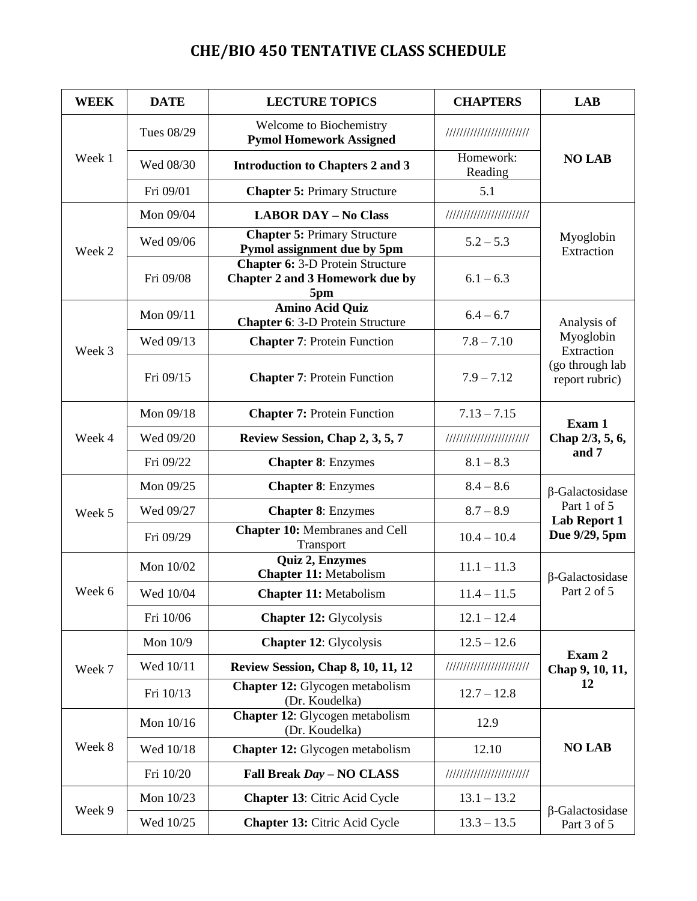# **CHE/BIO 450 TENTATIVE CLASS SCHEDULE**

| <b>WEEK</b> | <b>DATE</b> | <b>LECTURE TOPICS</b>                                                                    | <b>CHAPTERS</b>          | <b>LAB</b>                                                             |
|-------------|-------------|------------------------------------------------------------------------------------------|--------------------------|------------------------------------------------------------------------|
| Week 1      | Tues 08/29  | Welcome to Biochemistry<br><b>Pymol Homework Assigned</b>                                | ///////////////////////  | <b>NO LAB</b>                                                          |
|             | Wed 08/30   | <b>Introduction to Chapters 2 and 3</b>                                                  | Homework:<br>Reading     |                                                                        |
|             | Fri 09/01   | <b>Chapter 5: Primary Structure</b>                                                      | 5.1                      |                                                                        |
|             | Mon 09/04   | <b>LABOR DAY - No Class</b>                                                              | //////////////////////// | Myoglobin<br>Extraction                                                |
| Week 2      | Wed 09/06   | <b>Chapter 5: Primary Structure</b><br>Pymol assignment due by 5pm                       | $5.2 - 5.3$              |                                                                        |
|             | Fri 09/08   | <b>Chapter 6: 3-D Protein Structure</b><br><b>Chapter 2 and 3 Homework due by</b><br>5pm | $6.1 - 6.3$              |                                                                        |
|             | Mon 09/11   | <b>Amino Acid Quiz</b><br><b>Chapter 6: 3-D Protein Structure</b>                        | $6.4 - 6.7$              | Analysis of                                                            |
| Week 3      | Wed 09/13   | <b>Chapter 7: Protein Function</b>                                                       | $7.8 - 7.10$             | Myoglobin<br>Extraction                                                |
|             | Fri 09/15   | <b>Chapter 7: Protein Function</b>                                                       | $7.9 - 7.12$             | (go through lab<br>report rubric)                                      |
|             | Mon 09/18   | <b>Chapter 7: Protein Function</b>                                                       | $7.13 - 7.15$            | Exam 1<br>Chap 2/3, 5, 6,<br>and 7                                     |
| Week 4      | Wed 09/20   | Review Session, Chap 2, 3, 5, 7                                                          | //////////////////////// |                                                                        |
|             | Fri 09/22   | <b>Chapter 8: Enzymes</b>                                                                | $8.1 - 8.3$              |                                                                        |
|             | Mon 09/25   | <b>Chapter 8: Enzymes</b>                                                                | $8.4 - 8.6$              | $\beta$ -Galactosidase<br>Part 1 of 5<br>Lab Report 1<br>Due 9/29, 5pm |
| Week 5      | Wed 09/27   | <b>Chapter 8: Enzymes</b>                                                                | $8.7 - 8.9$              |                                                                        |
|             | Fri 09/29   | <b>Chapter 10: Membranes and Cell</b><br>Transport                                       | $10.4 - 10.4$            |                                                                        |
|             | Mon 10/02   | Quiz 2, Enzymes<br><b>Chapter 11: Metabolism</b>                                         | $11.1 - 11.3$            | $\beta$ -Galactosidase<br>Part 2 of 5                                  |
| Week 6      | Wed 10/04   | <b>Chapter 11: Metabolism</b>                                                            | $11.4 - 11.5$            |                                                                        |
|             | Fri 10/06   | <b>Chapter 12: Glycolysis</b>                                                            | $12.1 - 12.4$            |                                                                        |
| Week 7      | Mon 10/9    | <b>Chapter 12: Glycolysis</b>                                                            | $12.5 - 12.6$            | Exam 2<br>Chap 9, 10, 11,<br>12                                        |
|             | Wed 10/11   | <b>Review Session, Chap 8, 10, 11, 12</b>                                                | //////////////////////// |                                                                        |
|             | Fri 10/13   | Chapter 12: Glycogen metabolism<br>(Dr. Koudelka)                                        | $12.7 - 12.8$            |                                                                        |
| Week 8      | Mon 10/16   | Chapter 12: Glycogen metabolism<br>(Dr. Koudelka)                                        | 12.9                     | <b>NO LAB</b>                                                          |
|             | Wed 10/18   | Chapter 12: Glycogen metabolism                                                          | 12.10                    |                                                                        |
|             | Fri 10/20   | Fall Break Day - NO CLASS                                                                | //////////////////////// |                                                                        |
| Week 9      | Mon 10/23   | <b>Chapter 13:</b> Citric Acid Cycle                                                     | $13.1 - 13.2$            | $\beta$ -Galactosidase<br>Part 3 of 5                                  |
|             | Wed 10/25   | Chapter 13: Citric Acid Cycle                                                            | $13.3 - 13.5$            |                                                                        |